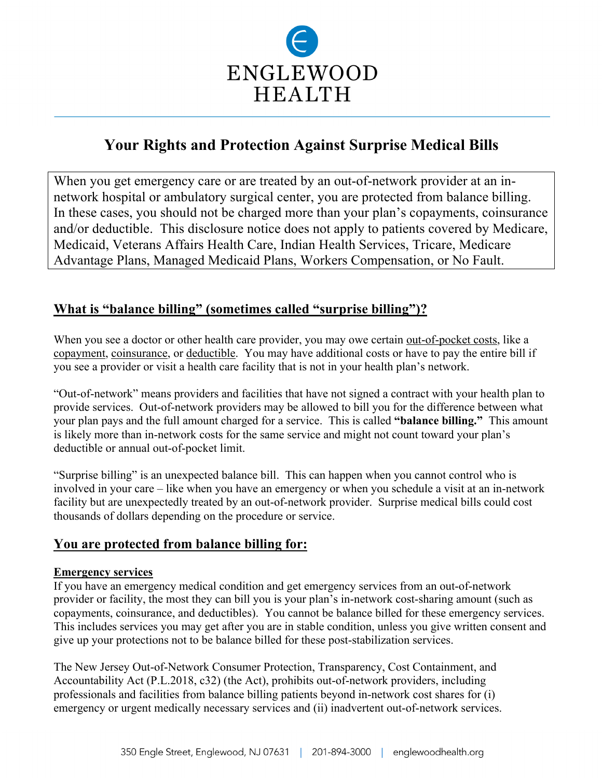

# **Your Rights and Protection Against Surprise Medical Bills**

When you get emergency care or are treated by an out-of-network provider at an innetwork hospital or ambulatory surgical center, you are protected from balance billing. In these cases, you should not be charged more than your plan's copayments, coinsurance and/or deductible. This disclosure notice does not apply to patients covered by Medicare, Medicaid, Veterans Affairs Health Care, Indian Health Services, Tricare, Medicare Advantage Plans, Managed Medicaid Plans, Workers Compensation, or No Fault.

## **What is "balance billing" (sometimes called "surprise billing")?**

When you see a doctor or other health care provider, you may owe certain out-of-pocket costs, like a copayment, coinsurance, or deductible. You may have additional costs or have to pay the entire bill if you see a provider or visit a health care facility that is not in your health plan's network.

"Out-of-network" means providers and facilities that have not signed a contract with your health plan to provide services. Out-of-network providers may be allowed to bill you for the difference between what your plan pays and the full amount charged for a service. This is called **"balance billing."** This amount is likely more than in-network costs for the same service and might not count toward your plan's deductible or annual out-of-pocket limit.

"Surprise billing" is an unexpected balance bill. This can happen when you cannot control who is involved in your care – like when you have an emergency or when you schedule a visit at an in-network facility but are unexpectedly treated by an out-of-network provider. Surprise medical bills could cost thousands of dollars depending on the procedure or service.

## **You are protected from balance billing for:**

#### **Emergency services**

If you have an emergency medical condition and get emergency services from an out-of-network provider or facility, the most they can bill you is your plan's in-network cost-sharing amount (such as copayments, coinsurance, and deductibles). You cannot be balance billed for these emergency services. This includes services you may get after you are in stable condition, unless you give written consent and give up your protections not to be balance billed for these post-stabilization services.

The New Jersey Out-of-Network Consumer Protection, Transparency, Cost Containment, and Accountability Act (P.L.2018, c32) (the Act), prohibits out-of-network providers, including professionals and facilities from balance billing patients beyond in-network cost shares for (i) emergency or urgent medically necessary services and (ii) inadvertent out-of-network services.